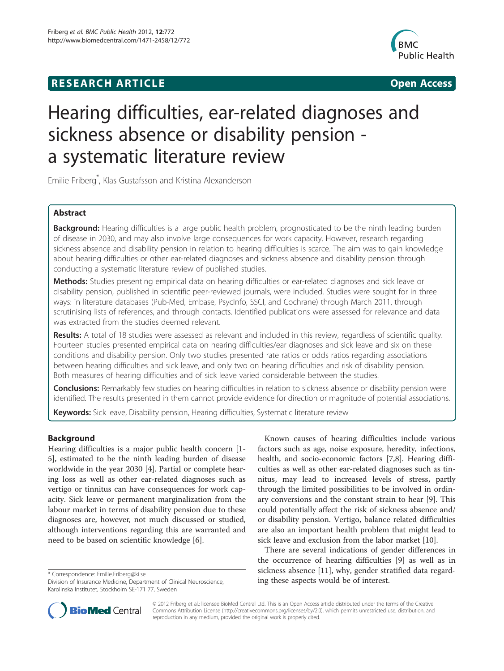# **RESEARCH ARTICLE Example 2014 CONSIDERING CONSIDERING CONSIDERING CONSIDERING CONSIDERING CONSIDERING CONSIDERING CONSIDERING CONSIDERING CONSIDERING CONSIDERING CONSIDERING CONSIDERING CONSIDERING CONSIDERING CONSIDE**



# Hearing difficulties, ear-related diagnoses and sickness absence or disability pension a systematic literature review

Emilie Friberg\* , Klas Gustafsson and Kristina Alexanderson

# Abstract

Background: Hearing difficulties is a large public health problem, prognosticated to be the ninth leading burden of disease in 2030, and may also involve large consequences for work capacity. However, research regarding sickness absence and disability pension in relation to hearing difficulties is scarce. The aim was to gain knowledge about hearing difficulties or other ear-related diagnoses and sickness absence and disability pension through conducting a systematic literature review of published studies.

Methods: Studies presenting empirical data on hearing difficulties or ear-related diagnoses and sick leave or disability pension, published in scientific peer-reviewed journals, were included. Studies were sought for in three ways: in literature databases (Pub-Med, Embase, PsycInfo, SSCI, and Cochrane) through March 2011, through scrutinising lists of references, and through contacts. Identified publications were assessed for relevance and data was extracted from the studies deemed relevant.

Results: A total of 18 studies were assessed as relevant and included in this review, regardless of scientific quality. Fourteen studies presented empirical data on hearing difficulties/ear diagnoses and sick leave and six on these conditions and disability pension. Only two studies presented rate ratios or odds ratios regarding associations between hearing difficulties and sick leave, and only two on hearing difficulties and risk of disability pension. Both measures of hearing difficulties and of sick leave varied considerable between the studies.

**Conclusions:** Remarkably few studies on hearing difficulties in relation to sickness absence or disability pension were identified. The results presented in them cannot provide evidence for direction or magnitude of potential associations.

Keywords: Sick leave, Disability pension, Hearing difficulties, Systematic literature review

# Background

Hearing difficulties is a major public health concern [\[1-](#page-9-0) [5\]](#page-9-0), estimated to be the ninth leading burden of disease worldwide in the year 2030 [[4\]](#page-9-0). Partial or complete hearing loss as well as other ear-related diagnoses such as vertigo or tinnitus can have consequences for work capacity. Sick leave or permanent marginalization from the labour market in terms of disability pension due to these diagnoses are, however, not much discussed or studied, although interventions regarding this are warranted and need to be based on scientific knowledge [[6\]](#page-9-0).



There are several indications of gender differences in the occurrence of hearing difficulties [[9](#page-9-0)] as well as in sickness absence [[11\]](#page-9-0), why, gender stratified data regarding these aspects would be of interest.<br>Division of Insurance Medicine, Department of Clinical Neuroscience, a sing these aspects would be of interest.



© 2012 Friberg et al.; licensee BioMed Central Ltd. This is an Open Access article distributed under the terms of the Creative Commons Attribution License [\(http://creativecommons.org/licenses/by/2.0\)](http://creativecommons.org/licenses/by/2.0), which permits unrestricted use, distribution, and reproduction in any medium, provided the original work is properly cited.

Division of Insurance Medicine, Department of Clinical Neuroscience, Karolinska Institutet, Stockholm SE-171 77, Sweden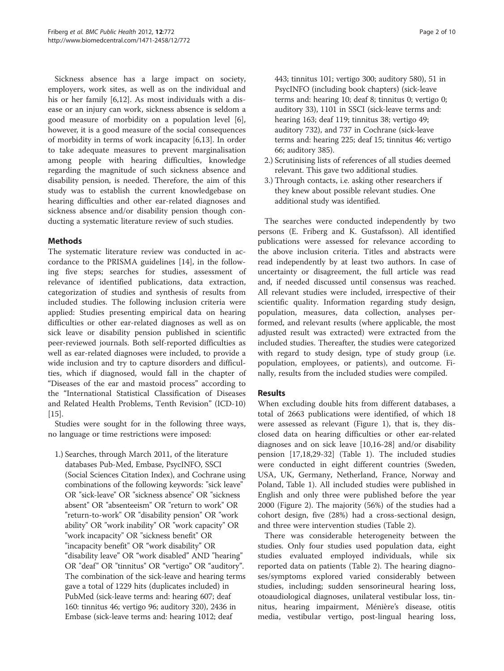Sickness absence has a large impact on society, employers, work sites, as well as on the individual and his or her family [\[6](#page-9-0),[12](#page-9-0)]. As most individuals with a disease or an injury can work, sickness absence is seldom a good measure of morbidity on a population level [\[6](#page-9-0)], however, it is a good measure of the social consequences of morbidity in terms of work incapacity [\[6,13\]](#page-9-0). In order to take adequate measures to prevent marginalisation among people with hearing difficulties, knowledge regarding the magnitude of such sickness absence and disability pension, is needed. Therefore, the aim of this study was to establish the current knowledgebase on hearing difficulties and other ear-related diagnoses and sickness absence and/or disability pension though conducting a systematic literature review of such studies.

# Methods

The systematic literature review was conducted in accordance to the PRISMA guidelines [\[14](#page-9-0)], in the following five steps; searches for studies, assessment of relevance of identified publications, data extraction, categorization of studies and synthesis of results from included studies. The following inclusion criteria were applied: Studies presenting empirical data on hearing difficulties or other ear-related diagnoses as well as on sick leave or disability pension published in scientific peer-reviewed journals. Both self-reported difficulties as well as ear-related diagnoses were included, to provide a wide inclusion and try to capture disorders and difficulties, which if diagnosed, would fall in the chapter of "Diseases of the ear and mastoid process" according to the "International Statistical Classification of Diseases and Related Health Problems, Tenth Revision" (ICD-10) [[15\]](#page-9-0).

Studies were sought for in the following three ways, no language or time restrictions were imposed:

1.) Searches, through March 2011, of the literature databases Pub-Med, Embase, PsycINFO, SSCI (Social Sciences Citation Index), and Cochrane using combinations of the following keywords: "sick leave" OR "sick-leave" OR "sickness absence" OR "sickness absent" OR "absenteeism" OR "return to work" OR "return-to-work" OR "disability pension" OR "work ability" OR "work inability" OR "work capacity" OR "work incapacity" OR "sickness benefit" OR "incapacity benefit" OR "work disability" OR "disability leave" OR "work disabled" AND "hearing" OR "deaf" OR "tinnitus" OR "vertigo" OR "auditory". The combination of the sick-leave and hearing terms gave a total of 1229 hits (duplicates included) in PubMed (sick-leave terms and: hearing 607; deaf 160: tinnitus 46; vertigo 96; auditory 320), 2436 in Embase (sick-leave terms and: hearing 1012; deaf

443; tinnitus 101; vertigo 300; auditory 580), 51 in PsycINFO (including book chapters) (sick-leave terms and: hearing 10; deaf 8; tinnitus 0; vertigo 0; auditory 33), 1101 in SSCI (sick-leave terms and: hearing 163; deaf 119; tinnitus 38; vertigo 49; auditory 732), and 737 in Cochrane (sick-leave terms and: hearing 225; deaf 15; tinnitus 46; vertigo 66; auditory 385).

- 2.) Scrutinising lists of references of all studies deemed relevant. This gave two additional studies.
- 3.) Through contacts, i.e. asking other researchers if they knew about possible relevant studies. One additional study was identified.

The searches were conducted independently by two persons (E. Friberg and K. Gustafsson). All identified publications were assessed for relevance according to the above inclusion criteria. Titles and abstracts were read independently by at least two authors. In case of uncertainty or disagreement, the full article was read and, if needed discussed until consensus was reached. All relevant studies were included, irrespective of their scientific quality. Information regarding study design, population, measures, data collection, analyses performed, and relevant results (where applicable, the most adjusted result was extracted) were extracted from the included studies. Thereafter, the studies were categorized with regard to study design, type of study group (i.e. population, employees, or patients), and outcome. Finally, results from the included studies were compiled.

# Results

When excluding double hits from different databases, a total of 2663 publications were identified, of which 18 were assessed as relevant (Figure [1\)](#page-2-0), that is, they disclosed data on hearing difficulties or other ear-related diagnoses and on sick leave [[10](#page-9-0),[16](#page-9-0)-[28\]](#page-9-0) and/or disability pension [\[17,18,29](#page-9-0)-[32](#page-9-0)] (Table [1](#page-3-0)). The included studies were conducted in eight different countries (Sweden, USA, UK, Germany, Netherland, France, Norway and Poland, Table [1\)](#page-3-0). All included studies were published in English and only three were published before the year 2000 (Figure [2\)](#page-7-0). The majority (56%) of the studies had a cohort design, five (28%) had a cross-sectional design, and three were intervention studies (Table [2](#page-8-0)).

There was considerable heterogeneity between the studies. Only four studies used population data, eight studies evaluated employed individuals, while six reported data on patients (Table [2\)](#page-8-0). The hearing diagnoses/symptoms explored varied considerably between studies, including; sudden sensorineural hearing loss, otoaudiological diagnoses, unilateral vestibular loss, tinnitus, hearing impairment, Ménière's disease, otitis media, vestibular vertigo, post-lingual hearing loss,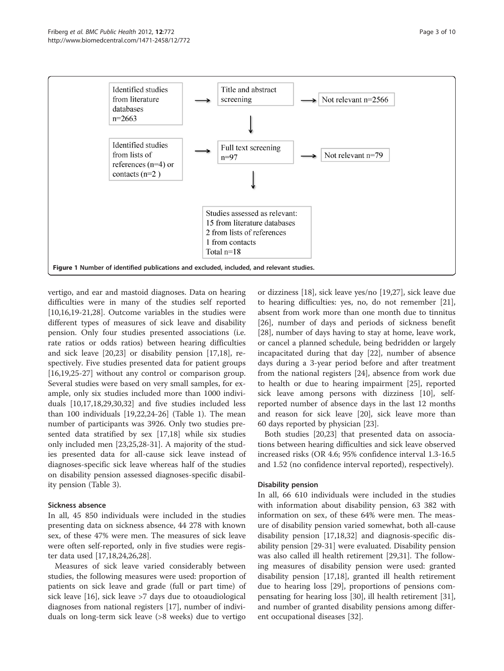<span id="page-2-0"></span>

contacts  $(n=2)$ Studies assessed as relevant: 15 from literature databases 2 from lists of references 1 from contacts Total  $n=18$ Figure 1 Number of identified publications and excluded, included, and relevant studies..

vertigo, and ear and mastoid diagnoses. Data on hearing difficulties were in many of the studies self reported [[10,16,19-21,28\]](#page-9-0). Outcome variables in the studies were different types of measures of sick leave and disability pension. Only four studies presented associations (i.e. rate ratios or odds ratios) between hearing difficulties and sick leave [\[20,23\]](#page-9-0) or disability pension [\[17,18](#page-9-0)], respectively. Five studies presented data for patient groups [[16,19,25-27\]](#page-9-0) without any control or comparison group. Several studies were based on very small samples, for example, only six studies included more than 1000 individuals [\[10,17,18,29,30,32\]](#page-9-0) and five studies included less than 100 individuals [\[19,22,24](#page-9-0)-[26\]](#page-9-0) (Table [1](#page-3-0)). The mean number of participants was 3926. Only two studies presented data stratified by sex [\[17,18](#page-9-0)] while six studies only included men [[23,25,28-31\]](#page-9-0). A majority of the studies presented data for all-cause sick leave instead of diagnoses-specific sick leave whereas half of the studies on disability pension assessed diagnoses-specific disability pension (Table [3\)](#page-8-0).

#### Sickness absence

In all, 45 850 individuals were included in the studies presenting data on sickness absence, 44 278 with known sex, of these 47% were men. The measures of sick leave were often self-reported, only in five studies were register data used [[17,18,24,26,28](#page-9-0)].

Measures of sick leave varied considerably between studies, the following measures were used: proportion of patients on sick leave and grade (full or part time) of sick leave [\[16](#page-9-0)], sick leave >7 days due to otoaudiological diagnoses from national registers [\[17](#page-9-0)], number of individuals on long-term sick leave (>8 weeks) due to vertigo or dizziness [\[18\]](#page-9-0), sick leave yes/no [[19,27\]](#page-9-0), sick leave due to hearing difficulties: yes, no, do not remember [\[21](#page-9-0)], absent from work more than one month due to tinnitus [[26\]](#page-9-0), number of days and periods of sickness benefit [[28\]](#page-9-0), number of days having to stay at home, leave work, or cancel a planned schedule, being bedridden or largely incapacitated during that day [\[22](#page-9-0)], number of absence days during a 3-year period before and after treatment from the national registers [\[24\]](#page-9-0), absence from work due to health or due to hearing impairment [[25\]](#page-9-0), reported sick leave among persons with dizziness [\[10](#page-9-0)], selfreported number of absence days in the last 12 months and reason for sick leave [\[20](#page-9-0)], sick leave more than 60 days reported by physician [[23](#page-9-0)].

Both studies [\[20,23](#page-9-0)] that presented data on associations between hearing difficulties and sick leave observed increased risks (OR 4.6; 95% confidence interval 1.3-16.5 and 1.52 (no confidence interval reported), respectively).

## Disability pension

In all, 66 610 individuals were included in the studies with information about disability pension, 63 382 with information on sex, of these 64% were men. The measure of disability pension varied somewhat, both all-cause disability pension [[17](#page-9-0),[18](#page-9-0),[32](#page-9-0)] and diagnosis-specific disability pension [\[29](#page-9-0)-[31\]](#page-9-0) were evaluated. Disability pension was also called ill health retirement [[29](#page-9-0),[31](#page-9-0)]. The following measures of disability pension were used: granted disability pension [[17](#page-9-0),[18](#page-9-0)], granted ill health retirement due to hearing loss [[29](#page-9-0)], proportions of pensions compensating for hearing loss [[30\]](#page-9-0), ill health retirement [\[31](#page-9-0)], and number of granted disability pensions among different occupational diseases [\[32](#page-9-0)].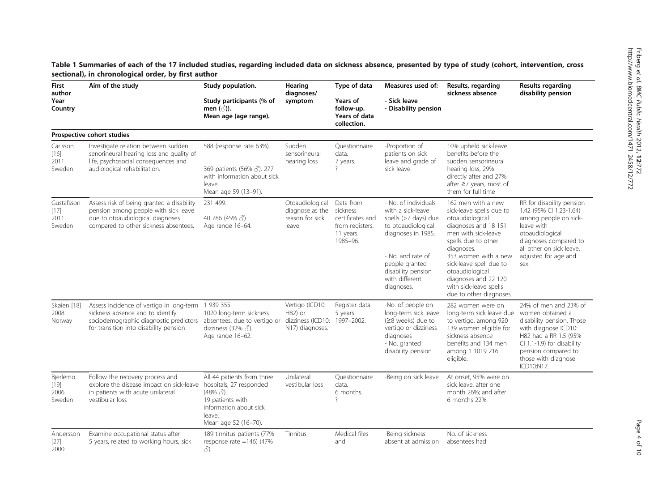<span id="page-3-0"></span>Table <sup>1</sup> Summaries of each of the <sup>17</sup> included studies, regarding included data on sickness absence, presented by type of study (cohort, intervention, cross sectional), in chronological order, by first author

| <b>First</b><br>author               | Aim of the study                                                                                                                                                                                         | Study population.                                                                                                                      | Hearing<br>diagnoses/                                                         | Type of data                                                                          | Measures used of:                                                                                                                                                                                          | Results, regarding<br>sickness absence                                                                                                                                                                                                                                                                   | <b>Results regarding</b><br>disability pension                                                                                                                                                                    |
|--------------------------------------|----------------------------------------------------------------------------------------------------------------------------------------------------------------------------------------------------------|----------------------------------------------------------------------------------------------------------------------------------------|-------------------------------------------------------------------------------|---------------------------------------------------------------------------------------|------------------------------------------------------------------------------------------------------------------------------------------------------------------------------------------------------------|----------------------------------------------------------------------------------------------------------------------------------------------------------------------------------------------------------------------------------------------------------------------------------------------------------|-------------------------------------------------------------------------------------------------------------------------------------------------------------------------------------------------------------------|
| Year<br>Country                      |                                                                                                                                                                                                          | Study participants (% of<br>men $(\textcolor{green}{\stackrel{\wedge}{\scriptstyle\wedge}})$ ).<br>Mean age (age range).               | symptom                                                                       | Years of<br>follow-up.<br>Years of data<br>collection.                                | - Sick leave<br>- Disability pension                                                                                                                                                                       |                                                                                                                                                                                                                                                                                                          |                                                                                                                                                                                                                   |
|                                      | Prospective cohort studies                                                                                                                                                                               |                                                                                                                                        |                                                                               |                                                                                       |                                                                                                                                                                                                            |                                                                                                                                                                                                                                                                                                          |                                                                                                                                                                                                                   |
| Carlsson<br>$[16]$<br>2011<br>Sweden | Investigate relation between sudden<br>senorineural hearing loss and quality of<br>life, psychosocial consequences and<br>audiological rehabilitation.                                                   | 588 (response rate 63%).<br>369 patients (56% Å). 277<br>with information about sick<br>leave.<br>Mean age 59 (13-91).                 | Sudden<br>sensorineural<br>hearing loss                                       | Questionnaire<br>data.<br>7 years.                                                    | -Proportion of<br>patients on sick<br>leave and grade of<br>sick leave.                                                                                                                                    | 10% upheld sick-leave<br>benefits before the<br>sudden sensorineural<br>hearing loss, 29%<br>directly after and 27%<br>after ≥7 years, most of<br>them for full time                                                                                                                                     |                                                                                                                                                                                                                   |
| Gustafsson<br>[17]<br>2011<br>Sweden | Assess risk of being granted a disability<br>pension among people with sick leave<br>due to otoaudiological diagnoses<br>compared to other sickness absentees.                                           | 231 499.<br>40 786 (45% 3).<br>Age range 16-64.                                                                                        | Otoaudiological<br>diagnose as the<br>reason for sick<br>leave.               | Data from<br>sickness<br>certificates and<br>from registers.<br>11 years.<br>1985-96. | - No. of individuals<br>with a sick-leave<br>spells (>7 days) due<br>to otoaudiological<br>diagnoses in 1985.<br>- No. and rate of<br>people granted<br>disability pension<br>with different<br>diagnoses. | 162 men with a new<br>sick-leave spells due to<br>otoaudiological<br>diagnoses and 18 151<br>men with sick-leave<br>spells due to other<br>diagnoses.<br>353 women with a new<br>sick-leave spell due to<br>otoaudiological<br>diagnoses and 22 120<br>with sick-leave spells<br>due to other diagnoses. | RR for disability pension<br>1.42 (95% CI 1.23-1.64)<br>among people on sick-<br>leave with<br>otoaudiological<br>diagnoses compared to<br>all other on sick leave,<br>adjusted for age and<br>sex.               |
| Skøien [18]<br>2008<br>Norway        | Assess incidence of vertigo in long-term 1 939 355.<br>sickness absence and to identify<br>sociodemographic diagnostic predictors absentees, due to vertigo or<br>for transition into disability pension | 1020 long-term sickness<br>dizziness (32% $\langle \rangle$ ).<br>Age range 16-62.                                                     | Vertigo (ICD10:<br>H82) or<br>dizziness (ICD10: 1997-2002.<br>N17) diagnoses. | Register data.<br>5 years                                                             | -No. of people on<br>long-term sick leave<br>$(28$ weeks) due to<br>vertigo or dizziness<br>diagnoses<br>- No. granted<br>disability pension                                                               | 282 women were on<br>long-term sick leave due<br>to vertigo, among 920<br>139 women eligible for<br>sickness absence<br>benefits and 134 men<br>among 1 1019 216<br>eligible.                                                                                                                            | 24% of men and 23% of<br>women obtained a<br>disability pension, Those<br>with diagnose ICD10:<br>H82 had a RR 1.5 (95%<br>CI 1.1-1.9) for disability<br>pension compared to<br>those with diagnose<br>ICD10:N17. |
| Bjerlemo<br>$[19]$<br>2006<br>Sweden | Follow the recovery process and<br>explore the disease impact on sick-leave hospitals, 27 responded<br>in patients with acute unilateral<br>vestibular loss                                              | All 44 patients from three<br>$(48\% \,\,\text{\AA}).$<br>19 patients with<br>information about sick<br>leave.<br>Mean age 52 (16-70). | Unilateral<br>vestibular loss                                                 | Ouestionnaire<br>data.<br>6 months.<br>$\overline{\phantom{a}}$                       | -Being on sick leave                                                                                                                                                                                       | At onset, 95% were on<br>sick leave, after one<br>month 26%; and after<br>6 months 22%.                                                                                                                                                                                                                  |                                                                                                                                                                                                                   |
| Andersson<br>$[27]$<br>2000          | Examine occupational status after<br>5 years, related to working hours, sick                                                                                                                             | 189 tinnitus patients (77%<br>response rate $=146$ ) (47%<br>I).                                                                       | Tinnitus                                                                      | Medical files<br>and                                                                  | -Being sickness<br>absent at admission                                                                                                                                                                     | No. of sickness<br>absentees had                                                                                                                                                                                                                                                                         |                                                                                                                                                                                                                   |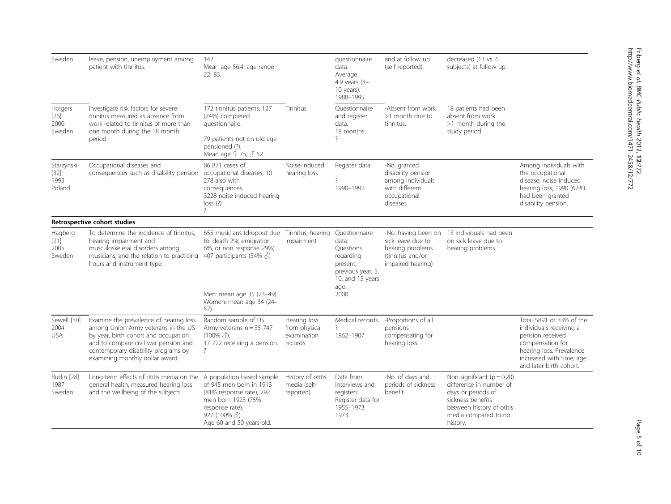| Sweden                                 | leave, pension, unemployment among<br>patient with tinnitus.                                                                                                                                                                            | 142.<br>Mean age 56.4, age range<br>$22 - 83$ .                                                                                                                                         |                                                         | questionnaire<br>data.<br>Average<br>4.9 years $(3 -$<br>10 years).<br>1988-1995.                                     | and at follow up<br>(self reported).                                                                  | decreased (13 vs. 6)<br>subjects) at follow up.                                                                                                                       |                                                                                                                                                                                |
|----------------------------------------|-----------------------------------------------------------------------------------------------------------------------------------------------------------------------------------------------------------------------------------------|-----------------------------------------------------------------------------------------------------------------------------------------------------------------------------------------|---------------------------------------------------------|-----------------------------------------------------------------------------------------------------------------------|-------------------------------------------------------------------------------------------------------|-----------------------------------------------------------------------------------------------------------------------------------------------------------------------|--------------------------------------------------------------------------------------------------------------------------------------------------------------------------------|
| Holgers<br>$[26]$<br>2000<br>Sweden    | Investigate risk factors for severe<br>tinnitus measured as absence from<br>work related to tinnitus of more than<br>one month during the 18 month<br>period                                                                            | 172 tinnitus patients, 127<br>(74%) completed<br>questionnaire.<br>79 patients not on old age<br>pensioned (?).<br>Mean age $9$ 75, $3$ 52.                                             | Tinnitus                                                | Ouestionnaire<br>and register<br>data.<br>18 months.<br>$\overline{\phantom{0}}$                                      | -Absent from work<br>>1 month due to<br>tinnitus.                                                     | 18 patients had been<br>absent from work<br>>1 month during the<br>study period.                                                                                      |                                                                                                                                                                                |
| Starzynski<br>$[32]$<br>1993<br>Poland | Occupational diseases and<br>consequences such as disability pension                                                                                                                                                                    | 86 871 cases of<br>occupational diseases, 10<br>278 also with<br>consequences.<br>3228 noise induced hearing<br>loss(?)<br>$\overline{?}$ .                                             | Noise-induced<br>hearing loss                           | Register data.<br>?<br>1990-1992.                                                                                     | -No. granted<br>disability pension<br>among individuals<br>with different<br>occupational<br>diseases |                                                                                                                                                                       | Among individuals with<br>the occupational<br>disease: noise induced<br>hearing loss, 1990 (62%)<br>had been granted<br>disability pension.                                    |
|                                        | Retrospective cohort studies                                                                                                                                                                                                            |                                                                                                                                                                                         |                                                         |                                                                                                                       |                                                                                                       |                                                                                                                                                                       |                                                                                                                                                                                |
| Hagberg<br>$[21]$<br>2005<br>Sweden    | To determine the incidence of tinnitus,<br>hearing impairment and<br>musculoskeletal disorders among<br>musicians, and the relation to practicing 407 participants (54% 3)<br>hours and instrument type.                                | 655 musicians (dropout due<br>to: death 2%, emigration<br>6%, or non response 29%).<br>Men: mean age 35 (23-49)                                                                         | Tinnitus, hearing<br>impairment                         | Questionnaire<br>data.<br>Questions<br>regarding<br>present,<br>previous year, 5,<br>10, and 15 years<br>ago.<br>2000 | -No. having been on<br>sick-leave due to<br>hearing problems<br>(tinnitus and/or<br>impaired hearing) | 13 individuals had been<br>on sick leave due to<br>hearing problems.                                                                                                  |                                                                                                                                                                                |
|                                        |                                                                                                                                                                                                                                         | Women: mean age 34 (24-<br>57).                                                                                                                                                         |                                                         |                                                                                                                       |                                                                                                       |                                                                                                                                                                       |                                                                                                                                                                                |
| Sewell [30]<br>2004<br><b>USA</b>      | Examine the prevalence of hearing loss<br>among Union Army veterans in the US<br>by year, birth cohort and occupation<br>and to compare civil war pension and<br>contemporary disability programs by<br>examining monthly dollar award. | Random sample of US<br>Army veterans $n = 35$ 747<br>$(100\% \,\mathring{\land})$ .<br>17 722 receiving a pension.<br>$\overline{?}$                                                    | Hearing loss<br>from physical<br>examination<br>records | $\overline{\cdot}$<br>1862-1907.                                                                                      | Medical records. - Proportions of all<br>pensions<br>compensating for<br>hearing loss.                |                                                                                                                                                                       | Total 5891 or 33% of the<br>individuals receiving a<br>pension received<br>compensation for<br>hearing loss. Prevalence<br>increased with time, age<br>and later birth cohort. |
| Rudin [28]<br>1987<br>Sweden           | Long-term effects of otitis media on the<br>general health, measured hearing loss<br>and the wellbeing of the subjects.                                                                                                                 | A population-based sample<br>of 945 men born in 1913<br>(81% response rate), 292<br>men born 1923 (75%<br>response rate).<br>927 (100% $\langle \rangle$ ).<br>Age 60 and 50 years-old. | History of otitis<br>media (self-<br>reported).         | Data from<br>interviews and<br>registers.<br>Register data for<br>1955-1973<br>1973.                                  | -No. of days and<br>periods of sickness<br>benefit.                                                   | Non-significant ( $p = 0.20$ )<br>difference in number of<br>days or periods of<br>sickness benefits<br>between history of otitis<br>media compared to no<br>history. |                                                                                                                                                                                |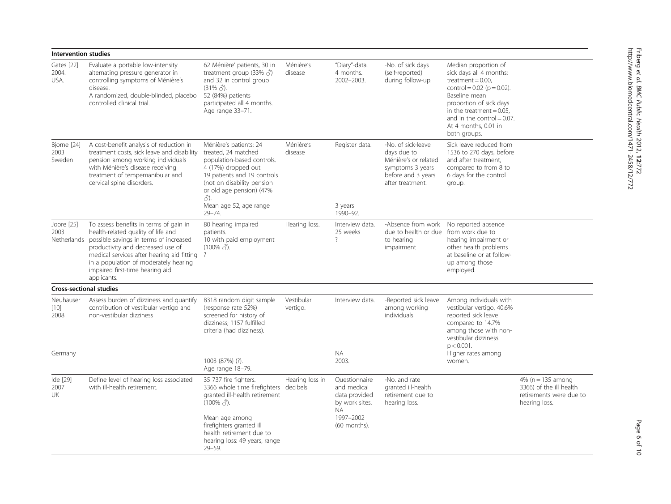| Intervention studies           |                                                                                                                                                                                                                                                                                                                  |                                                                                                                                                                                                                                                       |                        |                                                                                                           |                                                                                                                         |                                                                                                                                                                                                                                                                 |                                                                                             |
|--------------------------------|------------------------------------------------------------------------------------------------------------------------------------------------------------------------------------------------------------------------------------------------------------------------------------------------------------------|-------------------------------------------------------------------------------------------------------------------------------------------------------------------------------------------------------------------------------------------------------|------------------------|-----------------------------------------------------------------------------------------------------------|-------------------------------------------------------------------------------------------------------------------------|-----------------------------------------------------------------------------------------------------------------------------------------------------------------------------------------------------------------------------------------------------------------|---------------------------------------------------------------------------------------------|
| Gates [22]<br>2004.<br>USA.    | Evaluate a portable low-intensity<br>alternating pressure generator in<br>controlling symptoms of Ménière's<br>disease.<br>A randomized, double-blinded, placebo<br>controlled clinical trial.                                                                                                                   | 62 Ménière' patients, 30 in<br>treatment group (33% $\langle \rangle$ )<br>and 32 in control group<br>$(31\% \text{ } \textcircled{})$ .<br>52 (84%) patients<br>participated all 4 months.<br>Age range 33-71.                                       | Ménière's<br>disease   | "Diary"-data.<br>4 months.<br>2002-2003.                                                                  | -No. of sick days<br>(self-reported)<br>during follow-up.                                                               | Median proportion of<br>sick days all 4 months:<br>treatment = $0.00$ .<br>control = $0.02$ ( $p = 0.02$ ).<br>Baseline mean<br>proportion of sick days<br>in the treatment = $0.05$ .<br>and in the control $= 0.07$ .<br>At 4 months, 0.01 in<br>both groups. |                                                                                             |
| Bjorne [24]<br>2003<br>Sweden  | A cost-benefit analysis of reduction in<br>treatment costs, sick leave and disability<br>pension among working individuals<br>with Ménière's disease receiving<br>treatment of tempemanibular and<br>cervical spine disorders.                                                                                   | Ménière's patients: 24<br>treated, 24 matched<br>population-based controls.<br>4 (17%) dropped out.<br>19 patients and 19 controls<br>(not on disability pension<br>or old age pension) (47%<br>δ).<br>Mean age 52, age range<br>$29 - 74.$           | Ménière's<br>disease   | Register data.<br>3 years<br>1990-92.                                                                     | -No. of sick-leave<br>days due to<br>Ménière's or related<br>symptoms 3 years<br>before and 3 years<br>after treatment. | Sick leave reduced from<br>1536 to 270 days, before<br>and after treatment,<br>compared to from 8 to<br>6 days for the control<br>group.                                                                                                                        |                                                                                             |
| Joore [25]<br>2003             | To assess benefits in terms of gain in<br>health-related quality of life and<br>Netherlands possible savings in terms of increased<br>productivity and decreased use of<br>medical services after hearing aid fitting<br>in a population of moderately hearing<br>impaired first-time hearing aid<br>applicants. | 80 hearing impaired<br>patients.<br>10 with paid employment<br>$(100\% \,\mathring{\land})$ .<br>$\cdot$ ?                                                                                                                                            | Hearing loss.          | Interview data.<br>25 weeks<br>$\overline{?}$                                                             | -Absence from work<br>due to health or due<br>to hearing<br>impairment                                                  | No reported absence<br>from work due to<br>hearing impairment or<br>other health problems<br>at baseline or at follow-<br>up among those<br>employed.                                                                                                           |                                                                                             |
| <b>Cross-sectional studies</b> |                                                                                                                                                                                                                                                                                                                  |                                                                                                                                                                                                                                                       |                        |                                                                                                           |                                                                                                                         |                                                                                                                                                                                                                                                                 |                                                                                             |
| Neuhauser<br>$[10]$<br>2008    | Assess burden of dizziness and quantify<br>contribution of vestibular vertigo and<br>non-vestibular dizziness                                                                                                                                                                                                    | 8318 random digit sample<br>(response rate 52%)<br>screened for history of<br>dizziness; 1157 fulfilled<br>criteria (had dizziness).                                                                                                                  | Vestibular<br>vertigo. | Interview data.                                                                                           | -Reported sick leave<br>among working<br>individuals                                                                    | Among individuals with<br>vestibular vertigo, 40.6%<br>reported sick leave<br>compared to 14.7%<br>among those with non-<br>vestibular dizziness<br>$p < 0.001$ .                                                                                               |                                                                                             |
| Germany                        |                                                                                                                                                                                                                                                                                                                  | 1003 (87%) (?).<br>Age range 18-79.                                                                                                                                                                                                                   |                        | <b>NA</b><br>2003.                                                                                        |                                                                                                                         | Higher rates among<br>women.                                                                                                                                                                                                                                    |                                                                                             |
| Ide [29]<br>2007<br>UK         | Define level of hearing loss associated<br>with ill-health retirement.                                                                                                                                                                                                                                           | 35 737 fire fighters.<br>3366 whole time firefighters decibels<br>granted ill-health retirement<br>$(100\% \, \text{m}^3)$ .<br>Mean age among<br>firefighters granted ill<br>health retirement due to<br>hearing loss: 49 years, range<br>$29 - 59.$ | Hearing loss in        | Questionnaire<br>and medical<br>data provided<br>by work sites.<br><b>NA</b><br>1997-2002<br>(60 months). | -No. and rate<br>granted ill-health<br>retirement due to<br>hearing loss.                                               |                                                                                                                                                                                                                                                                 | 4% ( $n = 135$ among<br>3366) of the ill health<br>retirements were due to<br>hearing loss. |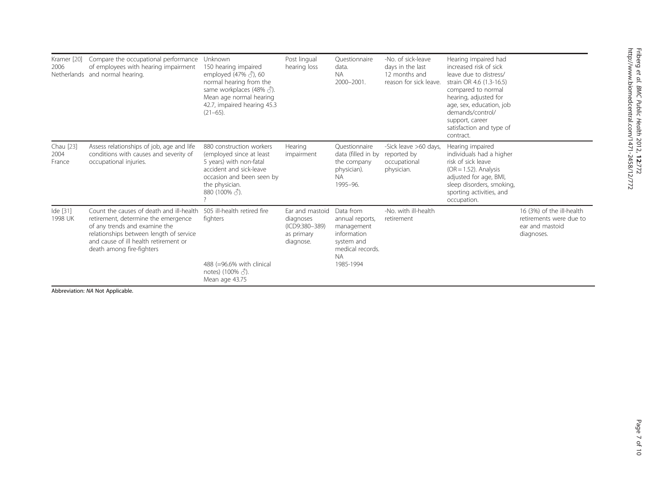| Kramer [20]<br>2006         | Compare the occupational performance<br>of employees with hearing impairment<br>Netherlands and normal hearing.                                                                                                                   | Unknown<br>150 hearing impaired<br>employed (47% $\langle$ ), 60<br>normal hearing from the<br>same workplaces (48% $\langle \rangle$ ).<br>Mean age normal hearing<br>42.7, impaired hearing 45.3<br>$(21-65)$ . | Post lingual<br>hearing loss                                              | Ouestionnaire<br>data.<br><b>NA</b><br>$2000 - 2001$ .                                                                | -No. of sick-leave<br>days in the last<br>12 months and<br>reason for sick leave. | Hearing impaired had<br>increased risk of sick<br>leave due to distress/<br>strain OR 4.6 (1.3-16.5)<br>compared to normal<br>hearing, adjusted for<br>age, sex, education, job<br>demands/control/<br>support, career<br>satisfaction and type of<br>contract. |                                                                                       |
|-----------------------------|-----------------------------------------------------------------------------------------------------------------------------------------------------------------------------------------------------------------------------------|-------------------------------------------------------------------------------------------------------------------------------------------------------------------------------------------------------------------|---------------------------------------------------------------------------|-----------------------------------------------------------------------------------------------------------------------|-----------------------------------------------------------------------------------|-----------------------------------------------------------------------------------------------------------------------------------------------------------------------------------------------------------------------------------------------------------------|---------------------------------------------------------------------------------------|
| Chau [23]<br>2004<br>France | Assess relationships of job, age and life<br>conditions with causes and severity of<br>occupational injuries.                                                                                                                     | 880 construction workers<br>(employed since at least)<br>5 years) with non-fatal<br>accident and sick-leave<br>occasion and been seen by<br>the physician.<br>880 (100% $\langle \rangle$ ).                      | Hearing<br>impairment                                                     | Ouestionnaire<br>data (filled in by<br>the company<br>physician).<br><b>NA</b><br>1995-96.                            | -Sick leave >60 days,<br>reported by<br>occupational<br>physician.                | Hearing impaired<br>individuals had a higher<br>risk of sick leave<br>$(OR = 1.52)$ . Analysis<br>adjusted for age, BMI,<br>sleep disorders, smoking,<br>sporting activities, and<br>occupation.                                                                |                                                                                       |
| Ide [31]<br>1998 UK         | Count the causes of death and ill-health<br>retirement, determine the emergence<br>of any trends and examine the<br>relationships between length of service<br>and cause of ill health retirement or<br>death among fire-fighters | 505 ill-health retired fire<br>fighters<br>488 (=96.6% with clinical<br>notes) (100% $\langle \rangle$ ).<br>Mean age 43.75                                                                                       | Ear and mastoid<br>diagnoses<br>(ICD9:380-389)<br>as primary<br>diagnose. | Data from<br>annual reports,<br>management<br>information<br>system and<br>medical records.<br><b>NA</b><br>1985-1994 | -No. with ill-health<br>retirement                                                |                                                                                                                                                                                                                                                                 | 16 (3%) of the ill-health<br>retirements were due to<br>ear and mastoid<br>diagnoses. |

Abbreviation: NA Not Applicable.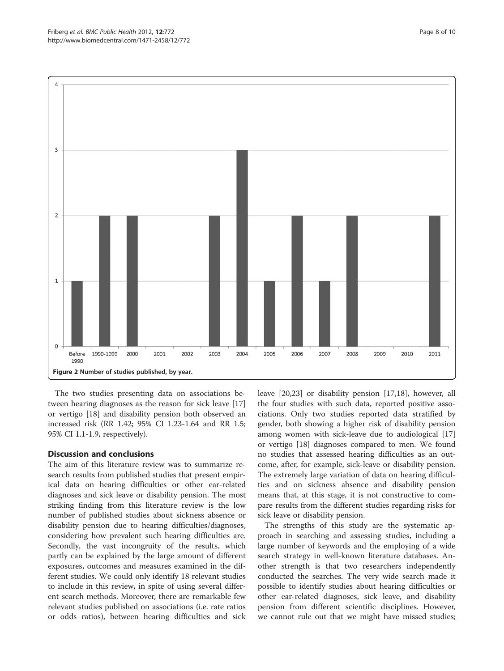The two studies presenting data on associations between hearing diagnoses as the reason for sick leave [[17](#page-9-0)] or vertigo [\[18](#page-9-0)] and disability pension both observed an increased risk (RR 1.42; 95% CI 1.23-1.64 and RR 1.5; 95% CI 1.1-1.9, respectively).

#### Discussion and conclusions

The aim of this literature review was to summarize research results from published studies that present empirical data on hearing difficulties or other ear-related diagnoses and sick leave or disability pension. The most striking finding from this literature review is the low number of published studies about sickness absence or disability pension due to hearing difficulties/diagnoses, considering how prevalent such hearing difficulties are. Secondly, the vast incongruity of the results, which partly can be explained by the large amount of different exposures, outcomes and measures examined in the different studies. We could only identify 18 relevant studies to include in this review, in spite of using several different search methods. Moreover, there are remarkable few relevant studies published on associations (i.e. rate ratios or odds ratios), between hearing difficulties and sick leave [[20,23\]](#page-9-0) or disability pension [[17,18\]](#page-9-0), however, all the four studies with such data, reported positive associations. Only two studies reported data stratified by gender, both showing a higher risk of disability pension among women with sick-leave due to audiological [[17](#page-9-0)] or vertigo [[18](#page-9-0)] diagnoses compared to men. We found no studies that assessed hearing difficulties as an outcome, after, for example, sick-leave or disability pension. The extremely large variation of data on hearing difficulties and on sickness absence and disability pension means that, at this stage, it is not constructive to compare results from the different studies regarding risks for sick leave or disability pension.

The strengths of this study are the systematic approach in searching and assessing studies, including a large number of keywords and the employing of a wide search strategy in well-known literature databases. Another strength is that two researchers independently conducted the searches. The very wide search made it possible to identify studies about hearing difficulties or other ear-related diagnoses, sick leave, and disability pension from different scientific disciplines. However, we cannot rule out that we might have missed studies;



<span id="page-7-0"></span> $\overline{A}$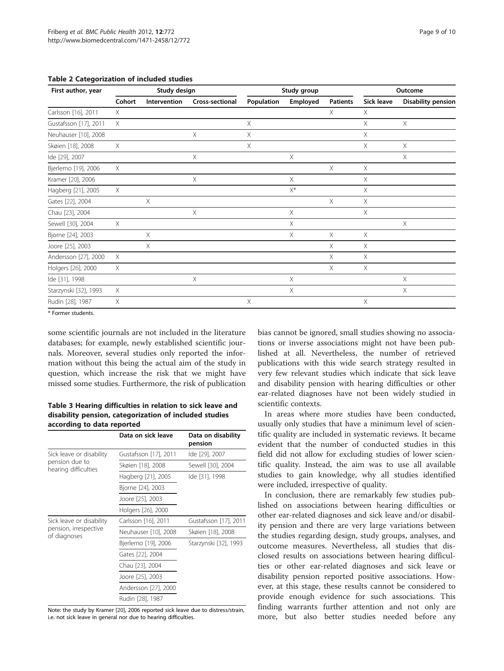<span id="page-8-0"></span>Table 2 Categorization of included studies

| First author, year    | Study design |              |                 |            | Study group | Outcome         |                   |                           |
|-----------------------|--------------|--------------|-----------------|------------|-------------|-----------------|-------------------|---------------------------|
|                       | Cohort       | Intervention | Cross-sectional | Population | Employed    | <b>Patients</b> | <b>Sick leave</b> | <b>Disability pension</b> |
| Carlsson [16], 2011   | Χ            |              |                 |            |             | X               | Χ                 |                           |
| Gustafsson [17], 2011 | Χ            |              |                 | Χ          |             |                 | X                 | $\times$                  |
| Neuhauser [10], 2008  |              |              | $\mathsf X$     | X          |             |                 | Χ                 |                           |
| Skøien [18], 2008     | $\times$     |              |                 | X          |             |                 | $\times$          | $\times$                  |
| Ide [29], 2007        |              |              | $\times$        |            | X           |                 |                   | $\times$                  |
| Bjerlemo [19], 2006   | $\times$     |              |                 |            |             | $\times$        | X                 |                           |
| Kramer [20], 2006     |              |              | $\times$        |            | X           |                 | Χ                 |                           |
| Hagberg [21], 2005    | X            |              |                 |            | $X^*$       |                 | $\times$          |                           |
| Gates [22], 2004      |              | Χ            |                 |            |             | X               | Χ                 |                           |
| Chau [23], 2004       |              |              | $\times$        |            | X           |                 | $\times$          |                           |
| Sewell [30], 2004     | $\times$     |              |                 |            | X           |                 |                   | $\times$                  |
| Bjorne [24], 2003     |              | Χ            |                 |            | X           | X               | X                 |                           |
| Joore [25], 2003      |              | $\mathsf X$  |                 |            |             | $\times$        | $\times$          |                           |
| Andersson [27], 2000  | $\times$     |              |                 |            |             | $\times$        | $\times$          |                           |
| Holgers [26], 2000    | Χ            |              |                 |            |             | X               | X                 |                           |
| Ide [31], 1998        |              |              | $\mathsf X$     |            | $\times$    |                 |                   | Χ                         |
| Starzynski [32], 1993 | X            |              |                 |            | X           |                 |                   | X                         |
| Rudin [28], 1987      | Χ            |              |                 | X          |             |                 | $\times$          |                           |

\* Former students.

some scientific journals are not included in the literature databases; for example, newly established scientific journals. Moreover, several studies only reported the information without this being the actual aim of the study in question, which increase the risk that we might have missed some studies. Furthermore, the risk of publication

### Table 3 Hearing difficulties in relation to sick leave and disability pension, categorization of included studies according to data reported

|                                        | Data on sick leave    | Data on disability<br>pension |  |
|----------------------------------------|-----------------------|-------------------------------|--|
| Sick leave or disability               | Gustafsson [17], 2011 | lde [29], 2007                |  |
| pension due to<br>hearing difficulties | Skøien [18], 2008     | Sewell [30], 2004             |  |
|                                        | Hagberg [21], 2005    | Ide [31], 1998                |  |
|                                        | Bjorne [24], 2003     |                               |  |
|                                        | Joore [25], 2003      |                               |  |
|                                        | Holgers [26], 2000    |                               |  |
| Sick leave or disability               | Carlsson [16], 2011   | Gustafsson [17], 2011         |  |
| pension, irrespective<br>of diagnoses  | Neuhauser [10], 2008  | Skøien [18], 2008             |  |
|                                        | Bjerlemo [19], 2006   | Starzynski [32], 1993         |  |
|                                        | Gates [22], 2004      |                               |  |
|                                        | Chau [23], 2004       |                               |  |
|                                        | Joore [25], 2003      |                               |  |
|                                        | Andersson [27], 2000  |                               |  |
|                                        | Rudin [28], 1987      |                               |  |

Note: the study by Kramer [[20\]](#page-9-0), 2006 reported sick leave due to distress/strain, i.e. not sick leave in general nor due to hearing difficulties.

bias cannot be ignored, small studies showing no associations or inverse associations might not have been published at all. Nevertheless, the number of retrieved publications with this wide search strategy resulted in very few relevant studies which indicate that sick leave and disability pension with hearing difficulties or other ear-related diagnoses have not been widely studied in scientific contexts.

In areas where more studies have been conducted, usually only studies that have a minimum level of scientific quality are included in systematic reviews. It became evident that the number of conducted studies in this field did not allow for excluding studies of lower scientific quality. Instead, the aim was to use all available studies to gain knowledge, why all studies identified were included, irrespective of quality.

In conclusion, there are remarkably few studies published on associations between hearing difficulties or other ear-related diagnoses and sick leave and/or disability pension and there are very large variations between the studies regarding design, study groups, analyses, and outcome measures. Nevertheless, all studies that disclosed results on associations between hearing difficulties or other ear-related diagnoses and sick leave or disability pension reported positive associations. However, at this stage, these results cannot be considered to provide enough evidence for such associations. This finding warrants further attention and not only are more, but also better studies needed before any